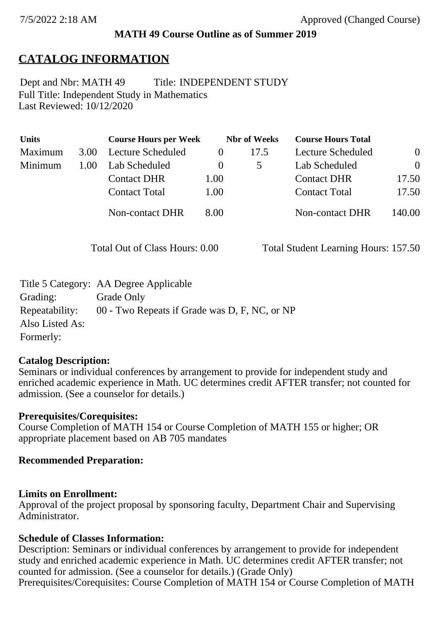# **MATH 49 Course Outline as of Summer 2019**

# **CATALOG INFORMATION**

Full Title: Independent Study in Mathematics Last Reviewed: 10/12/2020 Dept and Nbr: MATH 49 Title: INDEPENDENT STUDY

| <b>Units</b> |      | <b>Course Hours per Week</b> |          | <b>Nbr</b> of Weeks | <b>Course Hours Total</b> |          |
|--------------|------|------------------------------|----------|---------------------|---------------------------|----------|
| Maximum      | 3.00 | Lecture Scheduled            | $\theta$ | 17.5                | Lecture Scheduled         | $\theta$ |
| Minimum      | 1.00 | Lab Scheduled                | $\theta$ |                     | Lab Scheduled             | $\theta$ |
|              |      | <b>Contact DHR</b>           | 1.00     |                     | <b>Contact DHR</b>        | 17.50    |
|              |      | <b>Contact Total</b>         | 1.00     |                     | <b>Contact Total</b>      | 17.50    |
|              |      | Non-contact DHR              | 8.00     |                     | <b>Non-contact DHR</b>    | 140.00   |

Total Out of Class Hours: 0.00 Total Student Learning Hours: 157.50

|                 | Title 5 Category: AA Degree Applicable        |
|-----------------|-----------------------------------------------|
| Grading:        | Grade Only                                    |
| Repeatability:  | 00 - Two Repeats if Grade was D, F, NC, or NP |
| Also Listed As: |                                               |
| Formerly:       |                                               |

# **Catalog Description:**

Seminars or individual conferences by arrangement to provide for independent study and enriched academic experience in Math. UC determines credit AFTER transfer; not counted for admission. (See a counselor for details.)

#### **Prerequisites/Corequisites:**

Course Completion of MATH 154 or Course Completion of MATH 155 or higher; OR appropriate placement based on AB 705 mandates

# **Recommended Preparation:**

#### **Limits on Enrollment:**

Approval of the project proposal by sponsoring faculty, Department Chair and Supervising Administrator.

#### **Schedule of Classes Information:**

Description: Seminars or individual conferences by arrangement to provide for independent study and enriched academic experience in Math. UC determines credit AFTER transfer; not counted for admission. (See a counselor for details.) (Grade Only) Prerequisites/Corequisites: Course Completion of MATH 154 or Course Completion of MATH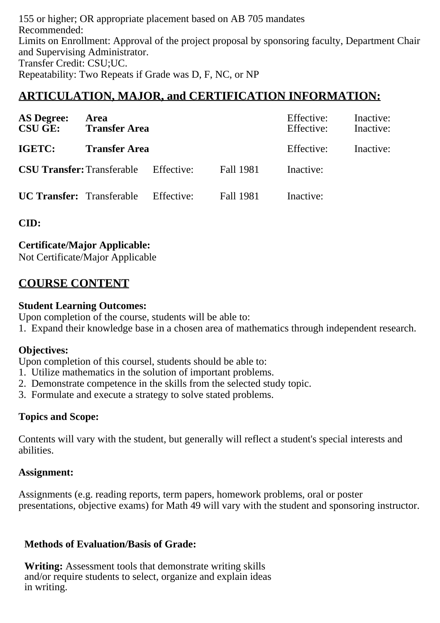155 or higher; OR appropriate placement based on AB 705 mandates Recommended: Limits on Enrollment: Approval of the project proposal by sponsoring faculty, Department Chair and Supervising Administrator. Transfer Credit: CSU;UC. Repeatability: Two Repeats if Grade was D, F, NC, or NP

# **ARTICULATION, MAJOR, and CERTIFICATION INFORMATION:**

| <b>AS Degree:</b><br><b>CSU GE:</b>          | Area<br><b>Transfer Area</b> |            |                  | Effective:<br>Effective: | Inactive:<br>Inactive: |
|----------------------------------------------|------------------------------|------------|------------------|--------------------------|------------------------|
| IGETC:                                       | <b>Transfer Area</b>         |            |                  | Effective:               | Inactive:              |
| <b>CSU Transfer:</b> Transferable Effective: |                              |            | <b>Fall 1981</b> | Inactive:                |                        |
| <b>UC Transfer:</b> Transferable             |                              | Effective: | <b>Fall 1981</b> | Inactive:                |                        |

**CID:**

# **Certificate/Major Applicable:**

[Not Certificate/Major Applicable](SR_ClassCheck.aspx?CourseKey=MATH49)

# **COURSE CONTENT**

### **Student Learning Outcomes:**

Upon completion of the course, students will be able to:

1. Expand their knowledge base in a chosen area of mathematics through independent research.

# **Objectives:**

Upon completion of this coursel, students should be able to:

- 1. Utilize mathematics in the solution of important problems.
- 2. Demonstrate competence in the skills from the selected study topic.
- 3. Formulate and execute a strategy to solve stated problems.

# **Topics and Scope:**

Contents will vary with the student, but generally will reflect a student's special interests and abilities.

# **Assignment:**

Assignments (e.g. reading reports, term papers, homework problems, oral or poster presentations, objective exams) for Math 49 will vary with the student and sponsoring instructor.

# **Methods of Evaluation/Basis of Grade:**

**Writing:** Assessment tools that demonstrate writing skills and/or require students to select, organize and explain ideas in writing.